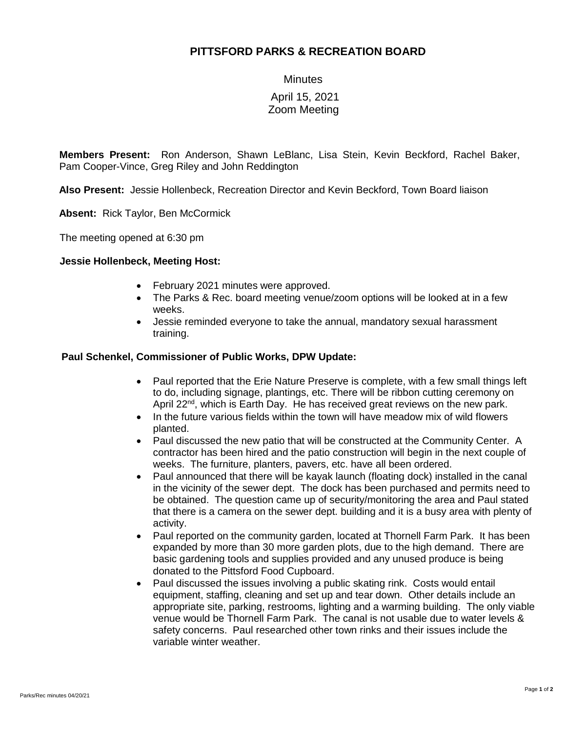## **PITTSFORD PARKS & RECREATION BOARD**

**Minutes** 

# April 15, 2021 Zoom Meeting

**Members Present:** Ron Anderson, Shawn LeBlanc, Lisa Stein, Kevin Beckford, Rachel Baker, Pam Cooper-Vince, Greg Riley and John Reddington

 **Also Present:** Jessie Hollenbeck, Recreation Director and Kevin Beckford, Town Board liaison

**Absent:** Rick Taylor, Ben McCormick

The meeting opened at 6:30 pm

## **Jessie Hollenbeck, Meeting Host:**

- February 2021 minutes were approved.
- The Parks & Rec. board meeting venue/zoom options will be looked at in a few weeks.
- Jessie reminded everyone to take the annual, mandatory sexual harassment training.

#### **Paul Schenkel, Commissioner of Public Works, DPW Update:**

- Paul reported that the Erie Nature Preserve is complete, with a few small things left to do, including signage, plantings, etc. There will be ribbon cutting ceremony on April 22<sup>nd</sup>, which is Earth Day. He has received great reviews on the new park.
- In the future various fields within the town will have meadow mix of wild flowers planted.
- Paul discussed the new patio that will be constructed at the Community Center. A contractor has been hired and the patio construction will begin in the next couple of weeks. The furniture, planters, pavers, etc. have all been ordered.
- Paul announced that there will be kayak launch (floating dock) installed in the canal in the vicinity of the sewer dept. The dock has been purchased and permits need to be obtained. The question came up of security/monitoring the area and Paul stated that there is a camera on the sewer dept. building and it is a busy area with plenty of activity.
- Paul reported on the community garden, located at Thornell Farm Park. It has been expanded by more than 30 more garden plots, due to the high demand. There are basic gardening tools and supplies provided and any unused produce is being donated to the Pittsford Food Cupboard.
- Paul discussed the issues involving a public skating rink. Costs would entail equipment, staffing, cleaning and set up and tear down. Other details include an appropriate site, parking, restrooms, lighting and a warming building. The only viable venue would be Thornell Farm Park. The canal is not usable due to water levels & safety concerns. Paul researched other town rinks and their issues include the variable winter weather.